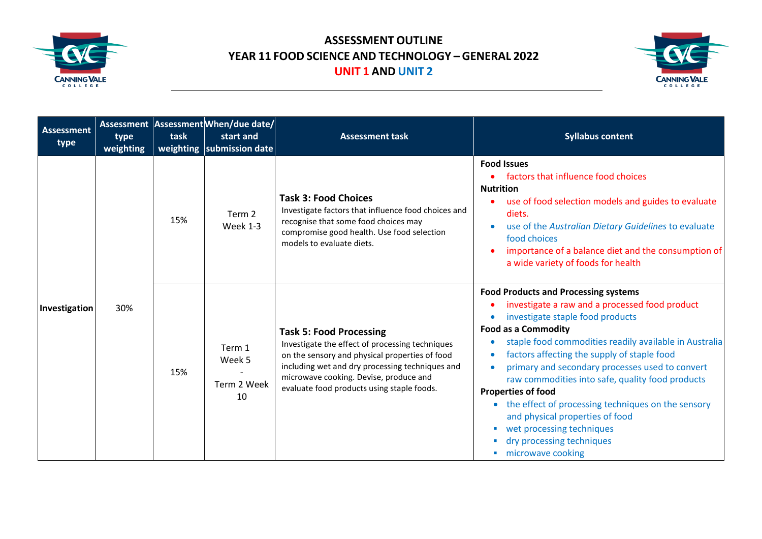



| <b>Assessment</b><br>type | type<br>weighting | task | Assessment Assessment When/due date/<br>start and<br>weighting   submission date | <b>Assessment task</b>                                                                                                                                                                                                                                                         | <b>Syllabus content</b>                                                                                                                                                                                                                                                                                                                                                                                                                                                                                                                                                                                                                  |
|---------------------------|-------------------|------|----------------------------------------------------------------------------------|--------------------------------------------------------------------------------------------------------------------------------------------------------------------------------------------------------------------------------------------------------------------------------|------------------------------------------------------------------------------------------------------------------------------------------------------------------------------------------------------------------------------------------------------------------------------------------------------------------------------------------------------------------------------------------------------------------------------------------------------------------------------------------------------------------------------------------------------------------------------------------------------------------------------------------|
| Investigation             | 30%               | 15%  | Term 2<br>Week 1-3                                                               | <b>Task 3: Food Choices</b><br>Investigate factors that influence food choices and<br>recognise that some food choices may<br>compromise good health. Use food selection<br>models to evaluate diets.                                                                          | <b>Food Issues</b><br>factors that influence food choices<br><b>Nutrition</b><br>use of food selection models and guides to evaluate<br>diets.<br>use of the Australian Dietary Guidelines to evaluate<br>food choices<br>importance of a balance diet and the consumption of<br>a wide variety of foods for health                                                                                                                                                                                                                                                                                                                      |
|                           |                   | 15%  | Term 1<br>Week 5<br>Term 2 Week<br>10                                            | <b>Task 5: Food Processing</b><br>Investigate the effect of processing techniques<br>on the sensory and physical properties of food<br>including wet and dry processing techniques and<br>microwave cooking. Devise, produce and<br>evaluate food products using staple foods. | <b>Food Products and Processing systems</b><br>investigate a raw and a processed food product<br>investigate staple food products<br>$\bullet$<br><b>Food as a Commodity</b><br>staple food commodities readily available in Australia<br>$\bullet$<br>factors affecting the supply of staple food<br>$\bullet$<br>primary and secondary processes used to convert<br>$\bullet$<br>raw commodities into safe, quality food products<br><b>Properties of food</b><br>the effect of processing techniques on the sensory<br>and physical properties of food<br>wet processing techniques<br>dry processing techniques<br>microwave cooking |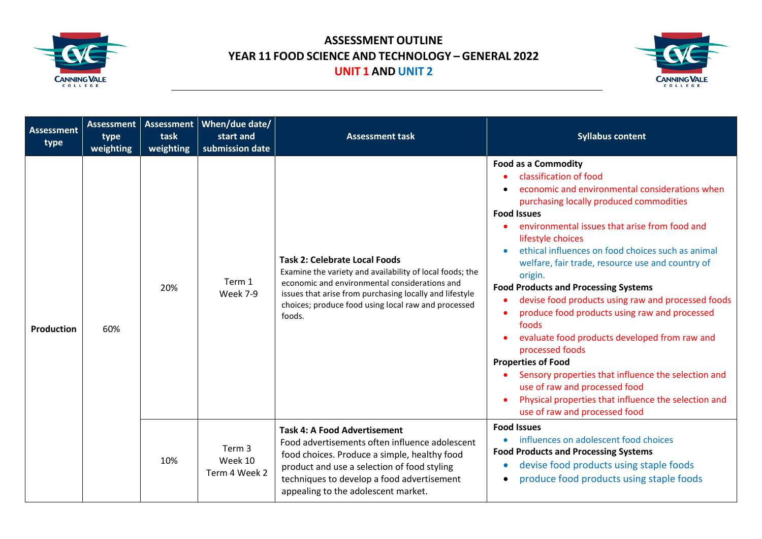



|  | <b>Assessment</b><br>type | <b>Assessment</b><br>type<br>weighting | <b>Assessment</b><br>task<br>weighting | When/due date/<br>start and<br>submission date                                                                                                                                                                                                                            | <b>Assessment task</b>                                                                                                                                                                                                                                                        | <b>Syllabus content</b>                                                                                                                                                                                                                                                                                                                                                                                                                                                                                                                                                                                                                                                                                                                                                                                                                                   |
|--|---------------------------|----------------------------------------|----------------------------------------|---------------------------------------------------------------------------------------------------------------------------------------------------------------------------------------------------------------------------------------------------------------------------|-------------------------------------------------------------------------------------------------------------------------------------------------------------------------------------------------------------------------------------------------------------------------------|-----------------------------------------------------------------------------------------------------------------------------------------------------------------------------------------------------------------------------------------------------------------------------------------------------------------------------------------------------------------------------------------------------------------------------------------------------------------------------------------------------------------------------------------------------------------------------------------------------------------------------------------------------------------------------------------------------------------------------------------------------------------------------------------------------------------------------------------------------------|
|  | Production                | 60%                                    | 20%                                    | Term 1<br><b>Week 7-9</b>                                                                                                                                                                                                                                                 | <b>Task 2: Celebrate Local Foods</b><br>Examine the variety and availability of local foods; the<br>economic and environmental considerations and<br>issues that arise from purchasing locally and lifestyle<br>choices; produce food using local raw and processed<br>foods. | <b>Food as a Commodity</b><br>classification of food<br>economic and environmental considerations when<br>purchasing locally produced commodities<br><b>Food Issues</b><br>environmental issues that arise from food and<br>lifestyle choices<br>ethical influences on food choices such as animal<br>$\bullet$<br>welfare, fair trade, resource use and country of<br>origin.<br><b>Food Products and Processing Systems</b><br>devise food products using raw and processed foods<br>produce food products using raw and processed<br>$\bullet$<br>foods<br>evaluate food products developed from raw and<br>processed foods<br><b>Properties of Food</b><br>Sensory properties that influence the selection and<br>use of raw and processed food<br>Physical properties that influence the selection and<br>$\bullet$<br>use of raw and processed food |
|  |                           | 10%                                    | Term 3<br>Week 10<br>Term 4 Week 2     | <b>Task 4: A Food Advertisement</b><br>Food advertisements often influence adolescent<br>food choices. Produce a simple, healthy food<br>product and use a selection of food styling<br>techniques to develop a food advertisement<br>appealing to the adolescent market. | <b>Food Issues</b><br>influences on adolescent food choices<br>$\bullet$<br><b>Food Products and Processing Systems</b><br>devise food products using staple foods<br>$\bullet$<br>produce food products using staple foods<br>$\bullet$                                      |                                                                                                                                                                                                                                                                                                                                                                                                                                                                                                                                                                                                                                                                                                                                                                                                                                                           |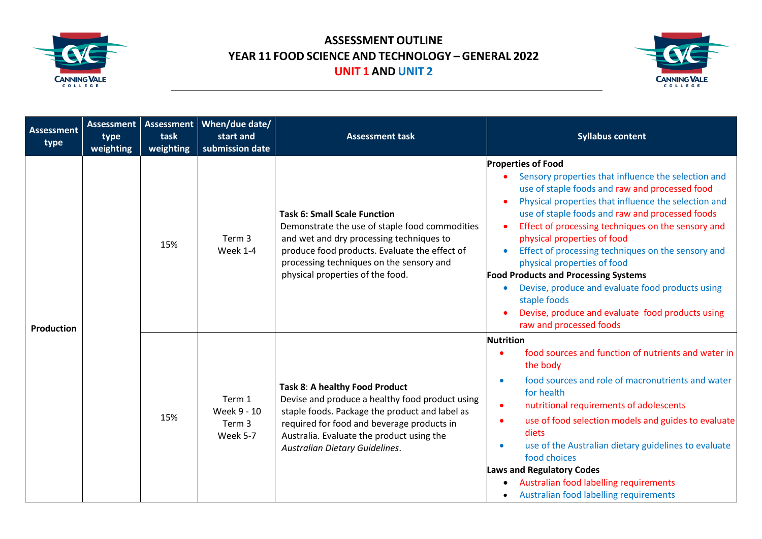



| <b>Assessment</b><br>type | <b>Assessment</b><br>type<br>weighting | <b>Assessment</b><br>task<br>weighting | When/due date/<br>start and<br>submission date | <b>Assessment task</b>                                                                                                                                                                                                                                             | <b>Syllabus content</b>                                                                                                                                                                                                                                                                                                                                                                                                                                                                                                                                                                                                                |
|---------------------------|----------------------------------------|----------------------------------------|------------------------------------------------|--------------------------------------------------------------------------------------------------------------------------------------------------------------------------------------------------------------------------------------------------------------------|----------------------------------------------------------------------------------------------------------------------------------------------------------------------------------------------------------------------------------------------------------------------------------------------------------------------------------------------------------------------------------------------------------------------------------------------------------------------------------------------------------------------------------------------------------------------------------------------------------------------------------------|
| <b>Production</b>         |                                        | 15%                                    | Term 3<br>Week 1-4                             | <b>Task 6: Small Scale Function</b><br>Demonstrate the use of staple food commodities<br>and wet and dry processing techniques to<br>produce food products. Evaluate the effect of<br>processing techniques on the sensory and<br>physical properties of the food. | <b>Properties of Food</b><br>Sensory properties that influence the selection and<br>use of staple foods and raw and processed food<br>Physical properties that influence the selection and<br>use of staple foods and raw and processed foods<br>Effect of processing techniques on the sensory and<br>$\bullet$<br>physical properties of food<br>Effect of processing techniques on the sensory and<br>physical properties of food<br><b>Food Products and Processing Systems</b><br>Devise, produce and evaluate food products using<br>staple foods<br>Devise, produce and evaluate food products using<br>raw and processed foods |
|                           |                                        | 15%                                    | Term 1<br>Week 9 - 10<br>Term 3<br>Week 5-7    | Task 8: A healthy Food Product<br>Devise and produce a healthy food product using<br>staple foods. Package the product and label as<br>required for food and beverage products in<br>Australia. Evaluate the product using the<br>Australian Dietary Guidelines.   | <b>Nutrition</b><br>food sources and function of nutrients and water in<br>the body<br>food sources and role of macronutrients and water<br>$\bullet$<br>for health<br>nutritional requirements of adolescents<br>$\bullet$<br>use of food selection models and guides to evaluate<br>$\bullet$<br>diets<br>use of the Australian dietary guidelines to evaluate<br>$\bullet$<br>food choices<br><b>Laws and Regulatory Codes</b><br>Australian food labelling requirements<br>Australian food labelling requirements                                                                                                                  |